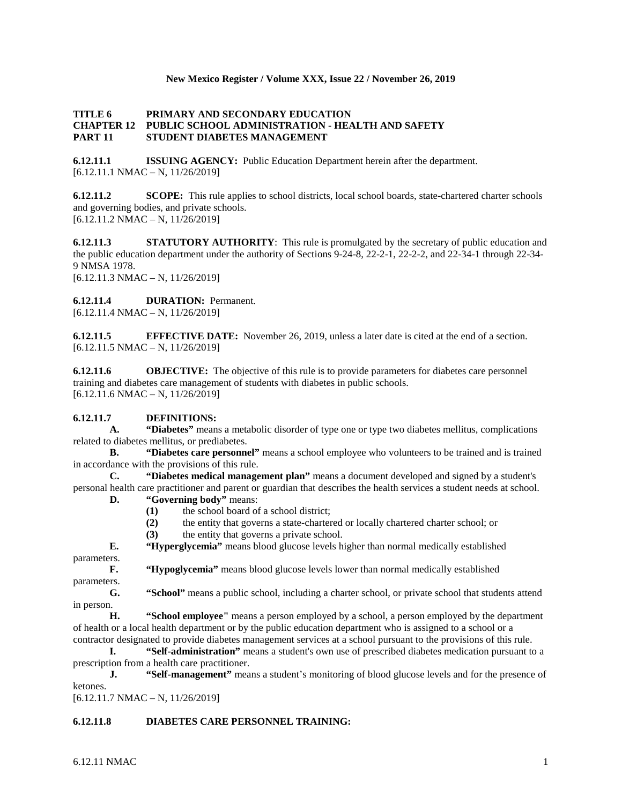#### **New Mexico Register / Volume XXX, Issue 22 / November 26, 2019**

#### **TITLE 6 PRIMARY AND SECONDARY EDUCATION CHAPTER 12 PUBLIC SCHOOL ADMINISTRATION - HEALTH AND SAFETY PART 11 STUDENT DIABETES MANAGEMENT**

**6.12.11.1 ISSUING AGENCY:** Public Education Department herein after the department.  $[6.12.11.1 \text{ NMAC} - \text{N}, 11/26/2019]$ 

**6.12.11.2 SCOPE:** This rule applies to school districts, local school boards, state-chartered charter schools and governing bodies, and private schools. [6.12.11.2 NMAC – N, 11/26/2019]

**6.12.11.3 STATUTORY AUTHORITY**: This rule is promulgated by the secretary of public education and the public education department under the authority of Sections 9-24-8, 22-2-1, 22-2-2, and 22-34-1 through 22-34- 9 NMSA 1978. [6.12.11.3 NMAC – N, 11/26/2019]

**6.12.11.4 DURATION:** Permanent. [6.12.11.4 NMAC – N, 11/26/2019]

**6.12.11.5 EFFECTIVE DATE:** November 26, 2019, unless a later date is cited at the end of a section. [6.12.11.5 NMAC – N, 11/26/2019]

**6.12.11.6 OBJECTIVE:** The objective of this rule is to provide parameters for diabetes care personnel training and diabetes care management of students with diabetes in public schools.  $[6.12.11.6 \text{ NMAC} - \text{N}, 11/26/2019]$ 

### **6.12.11.7 DEFINITIONS:**

**A. "Diabetes"** means a metabolic disorder of type one or type two diabetes mellitus, complications related to diabetes mellitus, or prediabetes.

**B. "Diabetes care personnel"** means a school employee who volunteers to be trained and is trained in accordance with the provisions of this rule.

**C. "Diabetes medical management plan"** means a document developed and signed by a student's personal health care practitioner and parent or guardian that describes the health services a student needs at school.

# **D. "Governing body"** means:

- **(1)** the school board of a school district;
- **(2)** the entity that governs a state-chartered or locally chartered charter school; or
- **(3)** the entity that governs a private school.

**E. "Hyperglycemia"** means blood glucose levels higher than normal medically established parameters.

**F. "Hypoglycemia"** means blood glucose levels lower than normal medically established

parameters. **G. "School"** means a public school, including a charter school, or private school that students attend in person.

**H. "School employee"** means a person employed by a school, a person employed by the department of health or a local health department or by the public education department who is assigned to a school or a contractor designated to provide diabetes management services at a school pursuant to the provisions of this rule.

**I. "Self-administration"** means a student's own use of prescribed diabetes medication pursuant to a prescription from a health care practitioner.

**J. "Self-management"** means a student's monitoring of blood glucose levels and for the presence of ketones.

 $[6.12.11.7 \text{ NMAC} - \text{N}, 11/26/2019]$ 

### **6.12.11.8 DIABETES CARE PERSONNEL TRAINING:**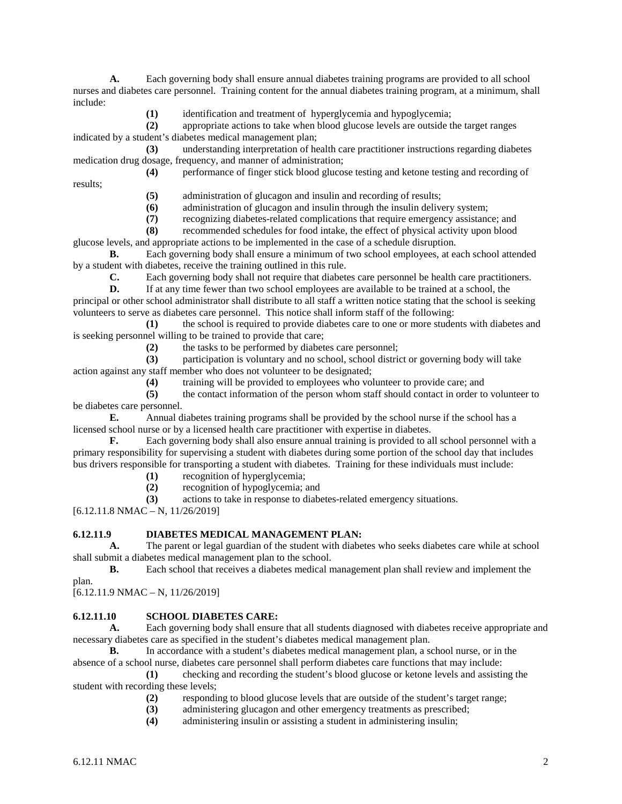**A.** Each governing body shall ensure annual diabetes training programs are provided to all school nurses and diabetes care personnel. Training content for the annual diabetes training program, at a minimum, shall include:

**(1)** identification and treatment of hyperglycemia and hypoglycemia;

**(2)** appropriate actions to take when blood glucose levels are outside the target ranges indicated by a student's diabetes medical management plan;

**(3)** understanding interpretation of health care practitioner instructions regarding diabetes medication drug dosage, frequency, and manner of administration;

**(4)** performance of finger stick blood glucose testing and ketone testing and recording of

**(5)** administration of glucagon and insulin and recording of results;

**(6)** administration of glucagon and insulin through the insulin delivery system;

**(7)** recognizing diabetes-related complications that require emergency assistance; and

**(8)** recommended schedules for food intake, the effect of physical activity upon blood glucose levels, and appropriate actions to be implemented in the case of a schedule disruption.

**B.** Each governing body shall ensure a minimum of two school employees, at each school attended by a student with diabetes, receive the training outlined in this rule.

**C.** Each governing body shall not require that diabetes care personnel be health care practitioners.

**D.** If at any time fewer than two school employees are available to be trained at a school, the principal or other school administrator shall distribute to all staff a written notice stating that the school is seeking volunteers to serve as diabetes care personnel. This notice shall inform staff of the following:

**(1)** the school is required to provide diabetes care to one or more students with diabetes and is seeking personnel willing to be trained to provide that care;

**(2)** the tasks to be performed by diabetes care personnel;

**(3)** participation is voluntary and no school, school district or governing body will take action against any staff member who does not volunteer to be designated;

**(4)** training will be provided to employees who volunteer to provide care; and

**(5)** the contact information of the person whom staff should contact in order to volunteer to be diabetes care personnel.

**E.** Annual diabetes training programs shall be provided by the school nurse if the school has a licensed school nurse or by a licensed health care practitioner with expertise in diabetes.

**F.** Each governing body shall also ensure annual training is provided to all school personnel with a primary responsibility for supervising a student with diabetes during some portion of the school day that includes bus drivers responsible for transporting a student with diabetes. Training for these individuals must include:

**(1)** recognition of hyperglycemia;

**(2)** recognition of hypoglycemia; and

**(3)** actions to take in response to diabetes-related emergency situations.

[6.12.11.8 NMAC – N, 11/26/2019]

results;

### **6.12.11.9 DIABETES MEDICAL MANAGEMENT PLAN:**

**A.** The parent or legal guardian of the student with diabetes who seeks diabetes care while at school shall submit a diabetes medical management plan to the school.

**B.** Each school that receives a diabetes medical management plan shall review and implement the plan.

[6.12.11.9 NMAC – N, 11/26/2019]

### **6.12.11.10 SCHOOL DIABETES CARE:**

**A.** Each governing body shall ensure that all students diagnosed with diabetes receive appropriate and necessary diabetes care as specified in the student's diabetes medical management plan.

**B.** In accordance with a student's diabetes medical management plan, a school nurse, or in the absence of a school nurse, diabetes care personnel shall perform diabetes care functions that may include:

**(1)** checking and recording the student's blood glucose or ketone levels and assisting the student with recording these levels;

- **(2)** responding to blood glucose levels that are outside of the student's target range;
- **(3)** administering glucagon and other emergency treatments as prescribed;
- **(4)** administering insulin or assisting a student in administering insulin;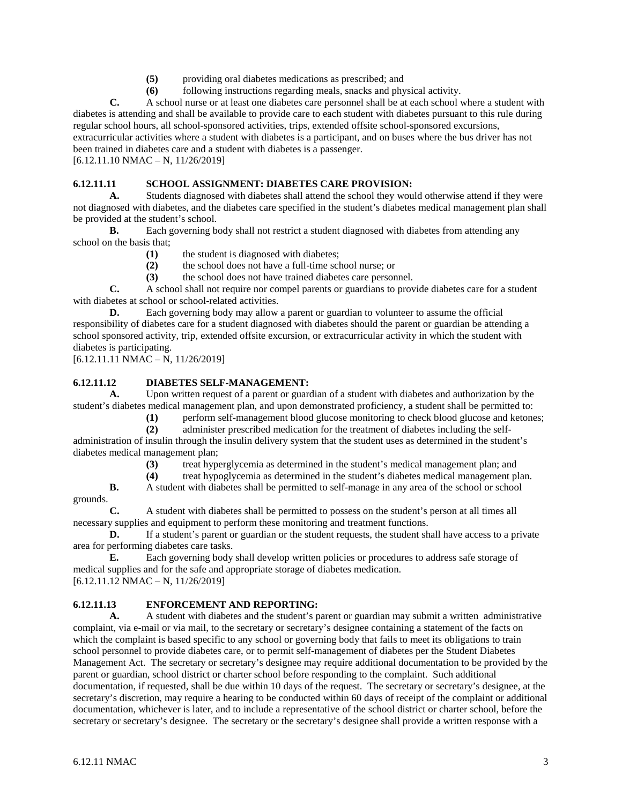- **(5)** providing oral diabetes medications as prescribed; and
- **(6)** following instructions regarding meals, snacks and physical activity.

**C.** A school nurse or at least one diabetes care personnel shall be at each school where a student with diabetes is attending and shall be available to provide care to each student with diabetes pursuant to this rule during regular school hours, all school-sponsored activities, trips, extended offsite school-sponsored excursions,

extracurricular activities where a student with diabetes is a participant, and on buses where the bus driver has not been trained in diabetes care and a student with diabetes is a passenger.

 $[6.12.11.10 NMAC - N, 11/26/2019]$ 

# **6.12.11.11 SCHOOL ASSIGNMENT: DIABETES CARE PROVISION:**

**A.** Students diagnosed with diabetes shall attend the school they would otherwise attend if they were not diagnosed with diabetes, and the diabetes care specified in the student's diabetes medical management plan shall be provided at the student's school.

**B.** Each governing body shall not restrict a student diagnosed with diabetes from attending any school on the basis that;

- **(1)** the student is diagnosed with diabetes;
- **(2)** the school does not have a full-time school nurse; or
- **(3)** the school does not have trained diabetes care personnel.

**C.** A school shall not require nor compel parents or guardians to provide diabetes care for a student with diabetes at school or school-related activities.

**D.** Each governing body may allow a parent or guardian to volunteer to assume the official responsibility of diabetes care for a student diagnosed with diabetes should the parent or guardian be attending a school sponsored activity, trip, extended offsite excursion, or extracurricular activity in which the student with diabetes is participating.

[6.12.11.11 NMAC – N, 11/26/2019]

## **6.12.11.12 DIABETES SELF-MANAGEMENT:**

**A.** Upon written request of a parent or guardian of a student with diabetes and authorization by the student's diabetes medical management plan, and upon demonstrated proficiency, a student shall be permitted to:

**(1)** perform self-management blood glucose monitoring to check blood glucose and ketones;

**(2)** administer prescribed medication for the treatment of diabetes including the self-

administration of insulin through the insulin delivery system that the student uses as determined in the student's diabetes medical management plan;

- **(3)** treat hyperglycemia as determined in the student's medical management plan; and
- **(4)** treat hypoglycemia as determined in the student's diabetes medical management plan.

**B.** A student with diabetes shall be permitted to self-manage in any area of the school or school grounds.

**C.** A student with diabetes shall be permitted to possess on the student's person at all times all necessary supplies and equipment to perform these monitoring and treatment functions.

**D.** If a student's parent or guardian or the student requests, the student shall have access to a private area for performing diabetes care tasks.

**E.** Each governing body shall develop written policies or procedures to address safe storage of medical supplies and for the safe and appropriate storage of diabetes medication.  $[6.12.11.12 NMAC - N, 11/26/2019]$ 

### **6.12.11.13 ENFORCEMENT AND REPORTING:**

**A.** A student with diabetes and the student's parent or guardian may submit a written administrative complaint, via e-mail or via mail, to the secretary or secretary's designee containing a statement of the facts on which the complaint is based specific to any school or governing body that fails to meet its obligations to train school personnel to provide diabetes care, or to permit self-management of diabetes per the Student Diabetes Management Act. The secretary or secretary's designee may require additional documentation to be provided by the parent or guardian, school district or charter school before responding to the complaint. Such additional documentation, if requested, shall be due within 10 days of the request. The secretary or secretary's designee, at the secretary's discretion, may require a hearing to be conducted within 60 days of receipt of the complaint or additional documentation, whichever is later, and to include a representative of the school district or charter school, before the secretary or secretary's designee. The secretary or the secretary's designee shall provide a written response with a